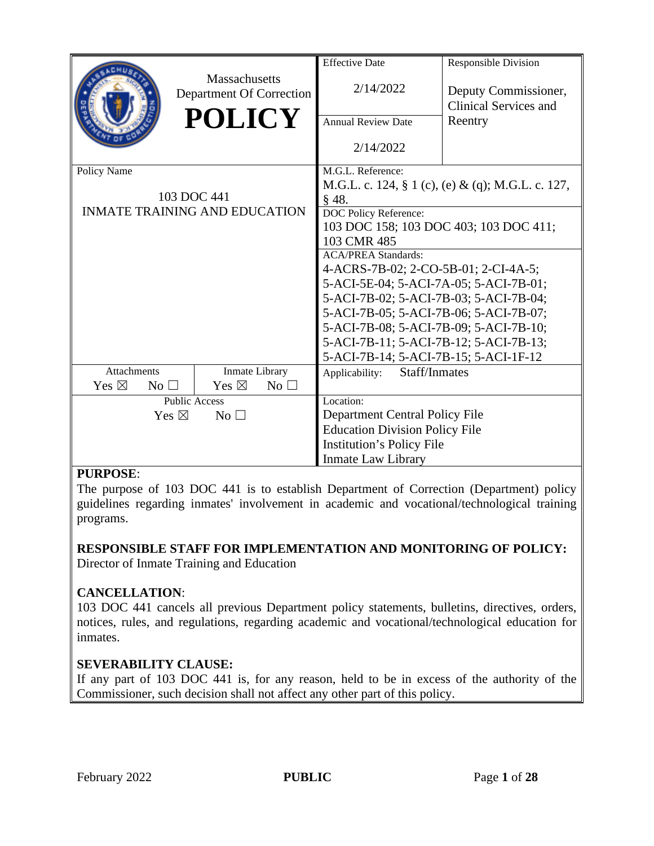|                                      |                                           | <b>Effective Date</b>                     | <b>Responsible Division</b>                          |  |
|--------------------------------------|-------------------------------------------|-------------------------------------------|------------------------------------------------------|--|
|                                      | Massachusetts<br>Department Of Correction | 2/14/2022                                 | Deputy Commissioner,<br>Clinical Services and        |  |
|                                      | <b>POLICY</b>                             | <b>Annual Review Date</b>                 | Reentry                                              |  |
|                                      |                                           | 2/14/2022                                 |                                                      |  |
| Policy Name                          |                                           | M.G.L. Reference:                         |                                                      |  |
|                                      |                                           |                                           | M.G.L. c. 124, $\S 1$ (c), (e) & (q); M.G.L. c. 127, |  |
|                                      | 103 DOC 441                               | § 48.                                     |                                                      |  |
|                                      | <b>INMATE TRAINING AND EDUCATION</b>      | DOC Policy Reference:                     |                                                      |  |
|                                      |                                           | 103 DOC 158; 103 DOC 403; 103 DOC 411;    |                                                      |  |
|                                      |                                           | 103 CMR 485<br><b>ACA/PREA Standards:</b> |                                                      |  |
|                                      |                                           | 4-ACRS-7B-02; 2-CO-5B-01; 2-CI-4A-5;      |                                                      |  |
|                                      |                                           | 5-ACI-5E-04; 5-ACI-7A-05; 5-ACI-7B-01;    |                                                      |  |
|                                      |                                           | 5-ACI-7B-02; 5-ACI-7B-03; 5-ACI-7B-04;    |                                                      |  |
|                                      |                                           | 5-ACI-7B-05; 5-ACI-7B-06; 5-ACI-7B-07;    |                                                      |  |
|                                      |                                           | 5-ACI-7B-08; 5-ACI-7B-09; 5-ACI-7B-10;    |                                                      |  |
|                                      |                                           | 5-ACI-7B-11; 5-ACI-7B-12; 5-ACI-7B-13;    |                                                      |  |
|                                      |                                           | 5-ACI-7B-14; 5-ACI-7B-15; 5-ACI-1F-12     |                                                      |  |
| <b>Attachments</b><br>Inmate Library |                                           | Staff/Inmates<br>Applicability:           |                                                      |  |
| Yes $\boxtimes$<br>No <sub>1</sub>   | Yes $\boxtimes$<br>$No$ $\square$         |                                           |                                                      |  |
|                                      | <b>Public Access</b>                      | Location:                                 |                                                      |  |
| Yes $\boxtimes$<br>No $\square$      |                                           | Department Central Policy File            |                                                      |  |
|                                      |                                           | <b>Education Division Policy File</b>     |                                                      |  |
|                                      |                                           | <b>Institution's Policy File</b>          |                                                      |  |
|                                      |                                           | <b>Inmate Law Library</b>                 |                                                      |  |

#### **PURPOSE**:

The purpose of 103 DOC 441 is to establish Department of Correction (Department) policy guidelines regarding inmates' involvement in academic and vocational/technological training programs.

#### **RESPONSIBLE STAFF FOR IMPLEMENTATION AND MONITORING OF POLICY:** Director of Inmate Training and Education

#### **CANCELLATION**:

103 DOC 441 cancels all previous Department policy statements, bulletins, directives, orders, notices, rules, and regulations, regarding academic and vocational/technological education for inmates.

#### **SEVERABILITY CLAUSE:**

If any part of 103 DOC 441 is, for any reason, held to be in excess of the authority of the Commissioner, such decision shall not affect any other part of this policy.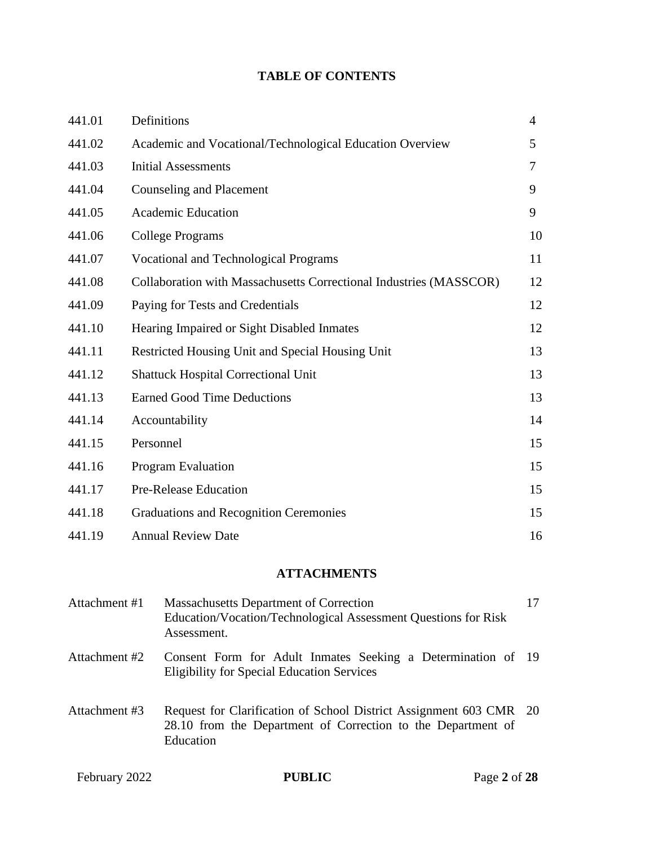#### **TABLE OF CONTENTS**

| 441.01 | Definitions                                                        | $\overline{4}$ |
|--------|--------------------------------------------------------------------|----------------|
| 441.02 | Academic and Vocational/Technological Education Overview           | 5              |
| 441.03 | <b>Initial Assessments</b>                                         | 7              |
| 441.04 | <b>Counseling and Placement</b>                                    | 9              |
| 441.05 | <b>Academic Education</b>                                          | 9              |
| 441.06 | <b>College Programs</b>                                            | 10             |
| 441.07 | <b>Vocational and Technological Programs</b>                       | 11             |
| 441.08 | Collaboration with Massachusetts Correctional Industries (MASSCOR) | 12             |
| 441.09 | Paying for Tests and Credentials                                   | 12             |
| 441.10 | Hearing Impaired or Sight Disabled Inmates                         | 12             |
| 441.11 | Restricted Housing Unit and Special Housing Unit                   | 13             |
| 441.12 | <b>Shattuck Hospital Correctional Unit</b>                         | 13             |
| 441.13 | <b>Earned Good Time Deductions</b>                                 | 13             |
| 441.14 | Accountability                                                     | 14             |
| 441.15 | Personnel                                                          | 15             |
| 441.16 | Program Evaluation                                                 | 15             |
| 441.17 | <b>Pre-Release Education</b>                                       | 15             |
| 441.18 | <b>Graduations and Recognition Ceremonies</b>                      | 15             |
| 441.19 | <b>Annual Review Date</b>                                          | 16             |

# **ATTACHMENTS**

| February 2022 | PUBLIC<br>Page 2 of $28$                                                                                                                        |    |
|---------------|-------------------------------------------------------------------------------------------------------------------------------------------------|----|
| Attachment #3 | Request for Clarification of School District Assignment 603 CMR 20<br>28.10 from the Department of Correction to the Department of<br>Education |    |
| Attachment #2 | Consent Form for Adult Inmates Seeking a Determination of 19<br><b>Eligibility for Special Education Services</b>                               |    |
| Attachment #1 | <b>Massachusetts Department of Correction</b><br>Education/Vocation/Technological Assessment Questions for Risk<br>Assessment.                  | 17 |
|               |                                                                                                                                                 |    |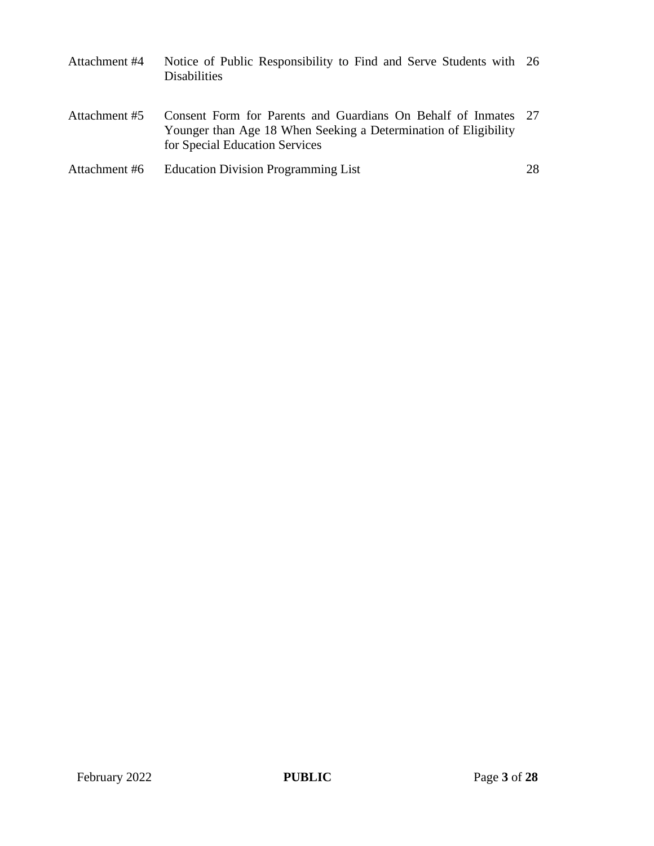| Attachment #4 | Notice of Public Responsibility to Find and Serve Students with 26<br><b>Disabilities</b>                                                                           |    |
|---------------|---------------------------------------------------------------------------------------------------------------------------------------------------------------------|----|
| Attachment #5 | Consent Form for Parents and Guardians On Behalf of Inmates 27<br>Younger than Age 18 When Seeking a Determination of Eligibility<br>for Special Education Services |    |
| Attachment #6 | <b>Education Division Programming List</b>                                                                                                                          | 28 |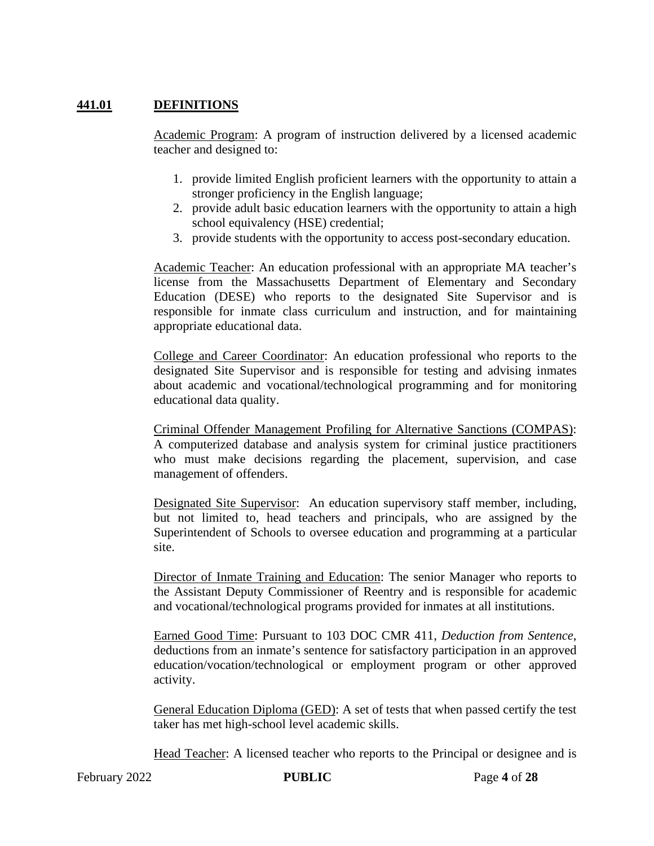#### **441.01 DEFINITIONS**

Academic Program: A program of instruction delivered by a licensed academic teacher and designed to:

- 1. provide limited English proficient learners with the opportunity to attain a stronger proficiency in the English language;
- 2. provide adult basic education learners with the opportunity to attain a high school equivalency (HSE) credential;
- 3. provide students with the opportunity to access post-secondary education.

Academic Teacher: An education professional with an appropriate MA teacher's license from the Massachusetts Department of Elementary and Secondary Education (DESE) who reports to the designated Site Supervisor and is responsible for inmate class curriculum and instruction, and for maintaining appropriate educational data.

College and Career Coordinator: An education professional who reports to the designated Site Supervisor and is responsible for testing and advising inmates about academic and vocational/technological programming and for monitoring educational data quality.

Criminal Offender Management Profiling for Alternative Sanctions (COMPAS): A computerized database and analysis system for criminal justice practitioners who must make decisions regarding the placement, supervision, and case management of offenders.

Designated Site Supervisor: An education supervisory staff member, including, but not limited to, head teachers and principals, who are assigned by the Superintendent of Schools to oversee education and programming at a particular site.

Director of Inmate Training and Education: The senior Manager who reports to the Assistant Deputy Commissioner of Reentry and is responsible for academic and vocational/technological programs provided for inmates at all institutions.

Earned Good Time: Pursuant to 103 DOC CMR 411, *Deduction from Sentence*, deductions from an inmate's sentence for satisfactory participation in an approved education/vocation/technological or employment program or other approved activity.

General Education Diploma (GED): A set of tests that when passed certify the test taker has met high-school level academic skills.

Head Teacher: A licensed teacher who reports to the Principal or designee and is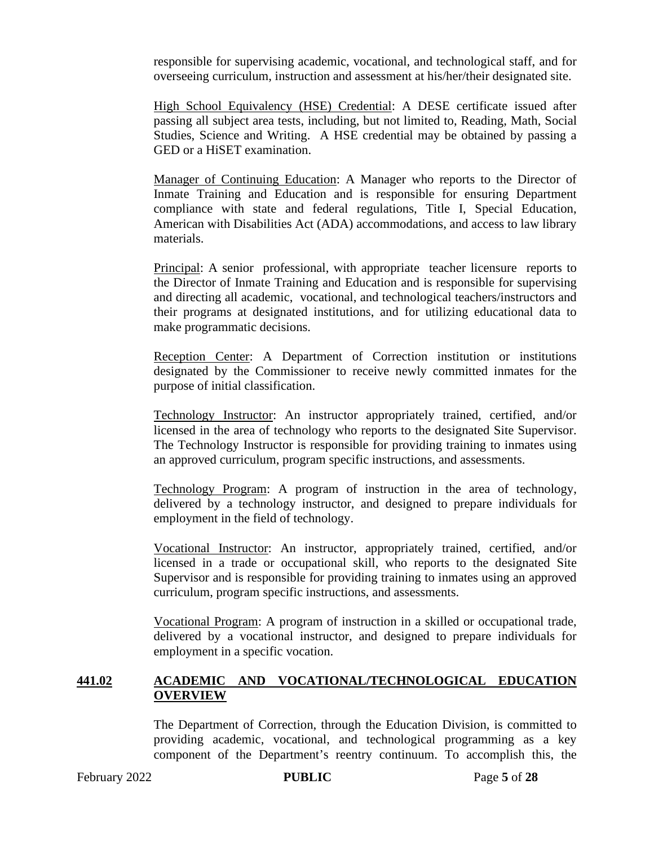responsible for supervising academic, vocational, and technological staff, and for overseeing curriculum, instruction and assessment at his/her/their designated site.

High School Equivalency (HSE) Credential: A DESE certificate issued after passing all subject area tests, including, but not limited to, Reading, Math, Social Studies, Science and Writing. A HSE credential may be obtained by passing a GED or a HiSET examination.

Manager of Continuing Education: A Manager who reports to the Director of Inmate Training and Education and is responsible for ensuring Department compliance with state and federal regulations, Title I, Special Education, American with Disabilities Act (ADA) accommodations, and access to law library materials.

Principal: A senior professional, with appropriate teacher licensure reports to the Director of Inmate Training and Education and is responsible for supervising and directing all academic, vocational, and technological teachers/instructors and their programs at designated institutions, and for utilizing educational data to make programmatic decisions.

Reception Center: A Department of Correction institution or institutions designated by the Commissioner to receive newly committed inmates for the purpose of initial classification.

Technology Instructor: An instructor appropriately trained, certified, and/or licensed in the area of technology who reports to the designated Site Supervisor. The Technology Instructor is responsible for providing training to inmates using an approved curriculum, program specific instructions, and assessments.

Technology Program: A program of instruction in the area of technology, delivered by a technology instructor, and designed to prepare individuals for employment in the field of technology.

Vocational Instructor: An instructor, appropriately trained, certified, and/or licensed in a trade or occupational skill, who reports to the designated Site Supervisor and is responsible for providing training to inmates using an approved curriculum, program specific instructions, and assessments.

Vocational Program: A program of instruction in a skilled or occupational trade, delivered by a vocational instructor, and designed to prepare individuals for employment in a specific vocation.

#### **441.02 ACADEMIC AND VOCATIONAL/TECHNOLOGICAL EDUCATION OVERVIEW**

The Department of Correction, through the Education Division, is committed to providing academic, vocational, and technological programming as a key component of the Department's reentry continuum. To accomplish this, the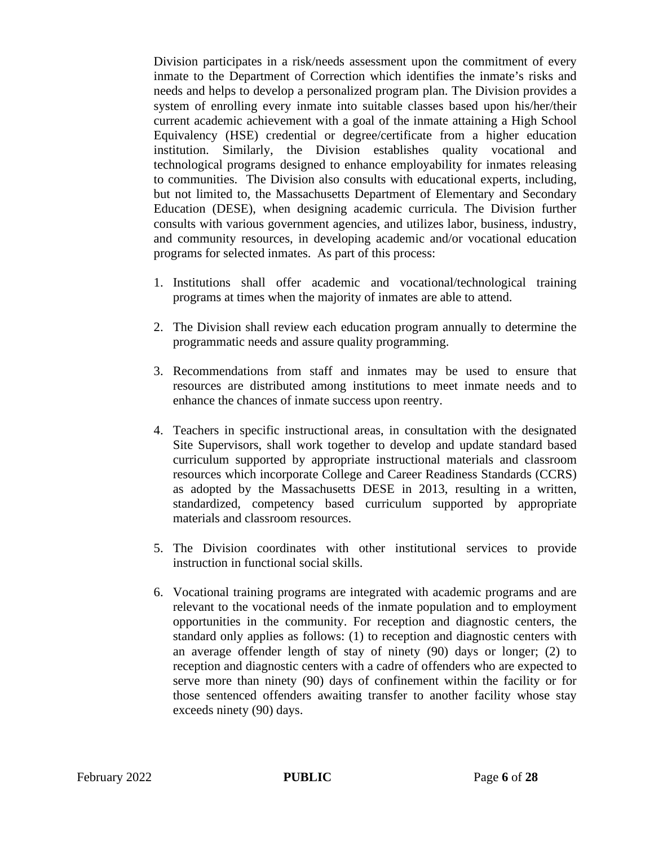Division participates in a risk/needs assessment upon the commitment of every inmate to the Department of Correction which identifies the inmate's risks and needs and helps to develop a personalized program plan. The Division provides a system of enrolling every inmate into suitable classes based upon his/her/their current academic achievement with a goal of the inmate attaining a High School Equivalency (HSE) credential or degree/certificate from a higher education institution. Similarly, the Division establishes quality vocational and technological programs designed to enhance employability for inmates releasing to communities. The Division also consults with educational experts, including, but not limited to, the Massachusetts Department of Elementary and Secondary Education (DESE), when designing academic curricula. The Division further consults with various government agencies, and utilizes labor, business, industry, and community resources, in developing academic and/or vocational education programs for selected inmates. As part of this process:

- 1. Institutions shall offer academic and vocational/technological training programs at times when the majority of inmates are able to attend.
- 2. The Division shall review each education program annually to determine the programmatic needs and assure quality programming.
- 3. Recommendations from staff and inmates may be used to ensure that resources are distributed among institutions to meet inmate needs and to enhance the chances of inmate success upon reentry.
- 4. Teachers in specific instructional areas, in consultation with the designated Site Supervisors, shall work together to develop and update standard based curriculum supported by appropriate instructional materials and classroom resources which incorporate College and Career Readiness Standards (CCRS) as adopted by the Massachusetts DESE in 2013, resulting in a written, standardized, competency based curriculum supported by appropriate materials and classroom resources.
- 5. The Division coordinates with other institutional services to provide instruction in functional social skills.
- 6. Vocational training programs are integrated with academic programs and are relevant to the vocational needs of the inmate population and to employment opportunities in the community. For reception and diagnostic centers, the standard only applies as follows: (1) to reception and diagnostic centers with an average offender length of stay of ninety (90) days or longer; (2) to reception and diagnostic centers with a cadre of offenders who are expected to serve more than ninety (90) days of confinement within the facility or for those sentenced offenders awaiting transfer to another facility whose stay exceeds ninety (90) days.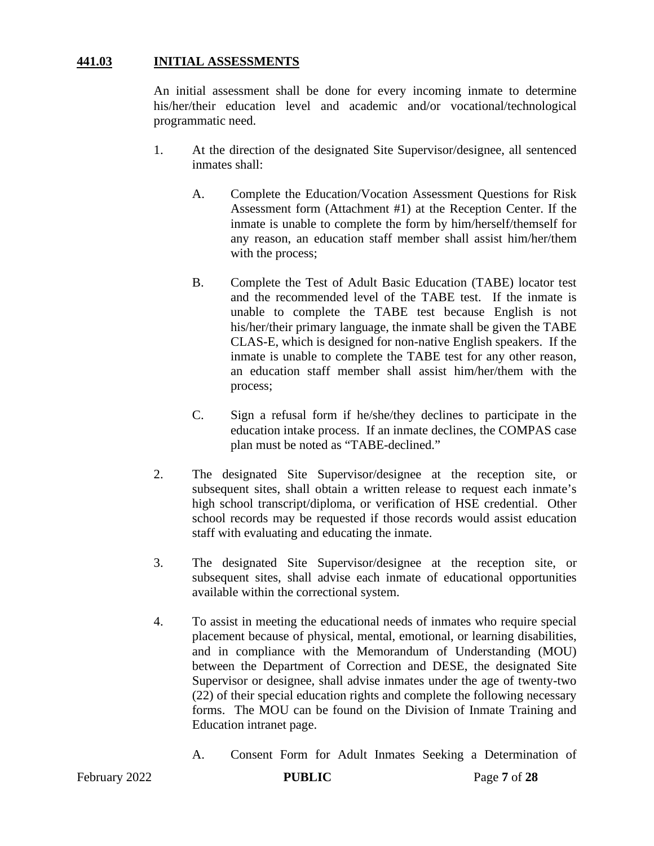#### **441.03 INITIAL ASSESSMENTS**

An initial assessment shall be done for every incoming inmate to determine his/her/their education level and academic and/or vocational/technological programmatic need.

- 1. At the direction of the designated Site Supervisor/designee, all sentenced inmates shall:
	- A. Complete the Education/Vocation Assessment Questions for Risk Assessment form (Attachment #1) at the Reception Center. If the inmate is unable to complete the form by him/herself/themself for any reason, an education staff member shall assist him/her/them with the process;
	- B. Complete the Test of Adult Basic Education (TABE) locator test and the recommended level of the TABE test. If the inmate is unable to complete the TABE test because English is not his/her/their primary language, the inmate shall be given the TABE CLAS-E, which is designed for non-native English speakers. If the inmate is unable to complete the TABE test for any other reason, an education staff member shall assist him/her/them with the process;
	- C. Sign a refusal form if he/she/they declines to participate in the education intake process. If an inmate declines, the COMPAS case plan must be noted as "TABE-declined."
- 2. The designated Site Supervisor/designee at the reception site, or subsequent sites, shall obtain a written release to request each inmate's high school transcript/diploma, or verification of HSE credential. Other school records may be requested if those records would assist education staff with evaluating and educating the inmate.
- 3. The designated Site Supervisor/designee at the reception site, or subsequent sites, shall advise each inmate of educational opportunities available within the correctional system.
- 4. To assist in meeting the educational needs of inmates who require special placement because of physical, mental, emotional, or learning disabilities, and in compliance with the Memorandum of Understanding (MOU) between the Department of Correction and DESE, the designated Site Supervisor or designee, shall advise inmates under the age of twenty-two (22) of their special education rights and complete the following necessary forms. The MOU can be found on the Division of Inmate Training and Education intranet page.
	- A. Consent Form for Adult Inmates Seeking a Determination of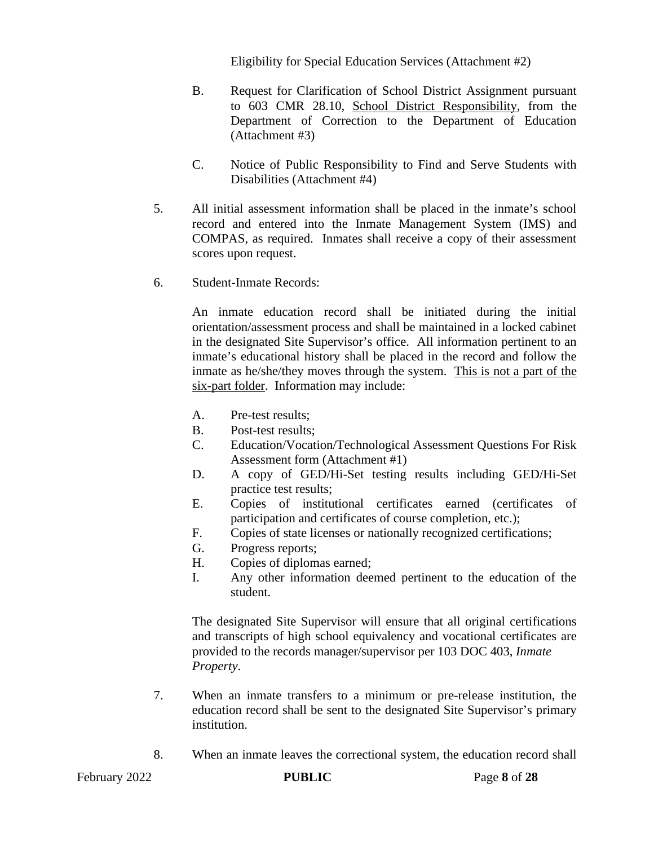Eligibility for Special Education Services (Attachment #2)

- B. Request for Clarification of School District Assignment pursuant to 603 CMR 28.10, School District Responsibility, from the Department of Correction to the Department of Education (Attachment #3)
- C. Notice of Public Responsibility to Find and Serve Students with Disabilities (Attachment #4)
- 5. All initial assessment information shall be placed in the inmate's school record and entered into the Inmate Management System (IMS) and COMPAS, as required. Inmates shall receive a copy of their assessment scores upon request.
- 6. Student-Inmate Records:

An inmate education record shall be initiated during the initial orientation/assessment process and shall be maintained in a locked cabinet in the designated Site Supervisor's office. All information pertinent to an inmate's educational history shall be placed in the record and follow the inmate as he/she/they moves through the system. This is not a part of the six-part folder. Information may include:

- A. Pre-test results;
- B. Post-test results;
- C. Education/Vocation/Technological Assessment Questions For Risk Assessment form (Attachment #1)
- D. A copy of GED/Hi-Set testing results including GED/Hi-Set practice test results;
- E. Copies of institutional certificates earned (certificates of participation and certificates of course completion, etc.);
- F. Copies of state licenses or nationally recognized certifications;
- G. Progress reports;
- H. Copies of diplomas earned;
- I. Any other information deemed pertinent to the education of the student.

The designated Site Supervisor will ensure that all original certifications and transcripts of high school equivalency and vocational certificates are provided to the records manager/supervisor per 103 DOC 403, *Inmate Property*.

- 7. When an inmate transfers to a minimum or pre-release institution, the education record shall be sent to the designated Site Supervisor's primary institution.
- 8. When an inmate leaves the correctional system, the education record shall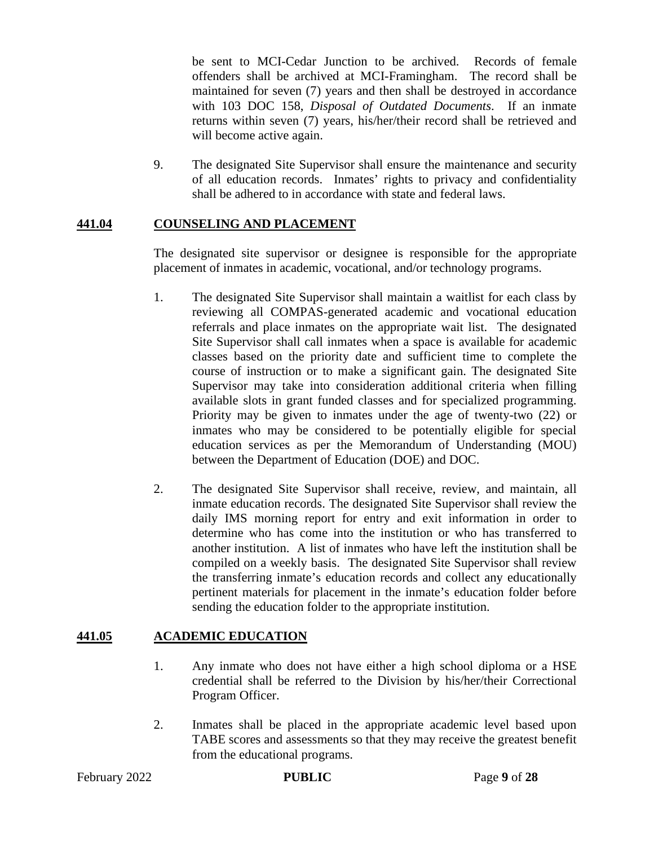be sent to MCI-Cedar Junction to be archived. Records of female offenders shall be archived at MCI-Framingham. The record shall be maintained for seven (7) years and then shall be destroyed in accordance with 103 DOC 158, *Disposal of Outdated Documents*. If an inmate returns within seven (7) years, his/her/their record shall be retrieved and will become active again.

9. The designated Site Supervisor shall ensure the maintenance and security of all education records. Inmates' rights to privacy and confidentiality shall be adhered to in accordance with state and federal laws.

#### **441.04 COUNSELING AND PLACEMENT**

The designated site supervisor or designee is responsible for the appropriate placement of inmates in academic, vocational, and/or technology programs.

- 1. The designated Site Supervisor shall maintain a waitlist for each class by reviewing all COMPAS-generated academic and vocational education referrals and place inmates on the appropriate wait list. The designated Site Supervisor shall call inmates when a space is available for academic classes based on the priority date and sufficient time to complete the course of instruction or to make a significant gain. The designated Site Supervisor may take into consideration additional criteria when filling available slots in grant funded classes and for specialized programming. Priority may be given to inmates under the age of twenty-two (22) or inmates who may be considered to be potentially eligible for special education services as per the Memorandum of Understanding (MOU) between the Department of Education (DOE) and DOC.
- 2. The designated Site Supervisor shall receive, review, and maintain, all inmate education records. The designated Site Supervisor shall review the daily IMS morning report for entry and exit information in order to determine who has come into the institution or who has transferred to another institution. A list of inmates who have left the institution shall be compiled on a weekly basis. The designated Site Supervisor shall review the transferring inmate's education records and collect any educationally pertinent materials for placement in the inmate's education folder before sending the education folder to the appropriate institution.

#### **441.05 ACADEMIC EDUCATION**

- 1. Any inmate who does not have either a high school diploma or a HSE credential shall be referred to the Division by his/her/their Correctional Program Officer.
- 2. Inmates shall be placed in the appropriate academic level based upon TABE scores and assessments so that they may receive the greatest benefit from the educational programs.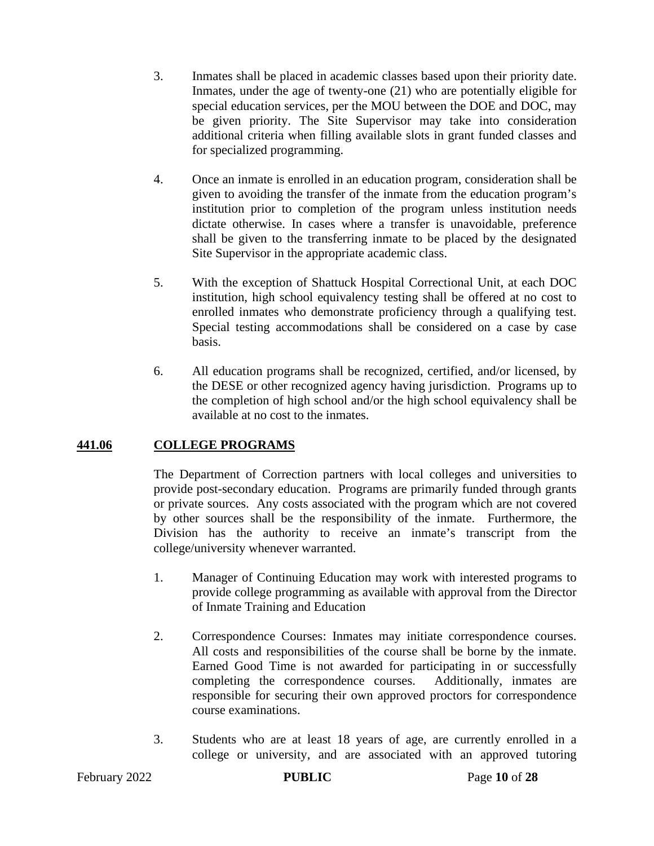- 3. Inmates shall be placed in academic classes based upon their priority date. Inmates, under the age of twenty-one (21) who are potentially eligible for special education services, per the MOU between the DOE and DOC, may be given priority. The Site Supervisor may take into consideration additional criteria when filling available slots in grant funded classes and for specialized programming.
- 4. Once an inmate is enrolled in an education program, consideration shall be given to avoiding the transfer of the inmate from the education program's institution prior to completion of the program unless institution needs dictate otherwise. In cases where a transfer is unavoidable, preference shall be given to the transferring inmate to be placed by the designated Site Supervisor in the appropriate academic class.
- 5. With the exception of Shattuck Hospital Correctional Unit, at each DOC institution, high school equivalency testing shall be offered at no cost to enrolled inmates who demonstrate proficiency through a qualifying test. Special testing accommodations shall be considered on a case by case basis.
- 6. All education programs shall be recognized, certified, and/or licensed, by the DESE or other recognized agency having jurisdiction. Programs up to the completion of high school and/or the high school equivalency shall be available at no cost to the inmates.

### **441.06 COLLEGE PROGRAMS**

The Department of Correction partners with local colleges and universities to provide post-secondary education. Programs are primarily funded through grants or private sources. Any costs associated with the program which are not covered by other sources shall be the responsibility of the inmate. Furthermore, the Division has the authority to receive an inmate's transcript from the college/university whenever warranted.

- 1. Manager of Continuing Education may work with interested programs to provide college programming as available with approval from the Director of Inmate Training and Education
- 2. Correspondence Courses: Inmates may initiate correspondence courses. All costs and responsibilities of the course shall be borne by the inmate. Earned Good Time is not awarded for participating in or successfully completing the correspondence courses. Additionally, inmates are responsible for securing their own approved proctors for correspondence course examinations.
- 3. Students who are at least 18 years of age, are currently enrolled in a college or university, and are associated with an approved tutoring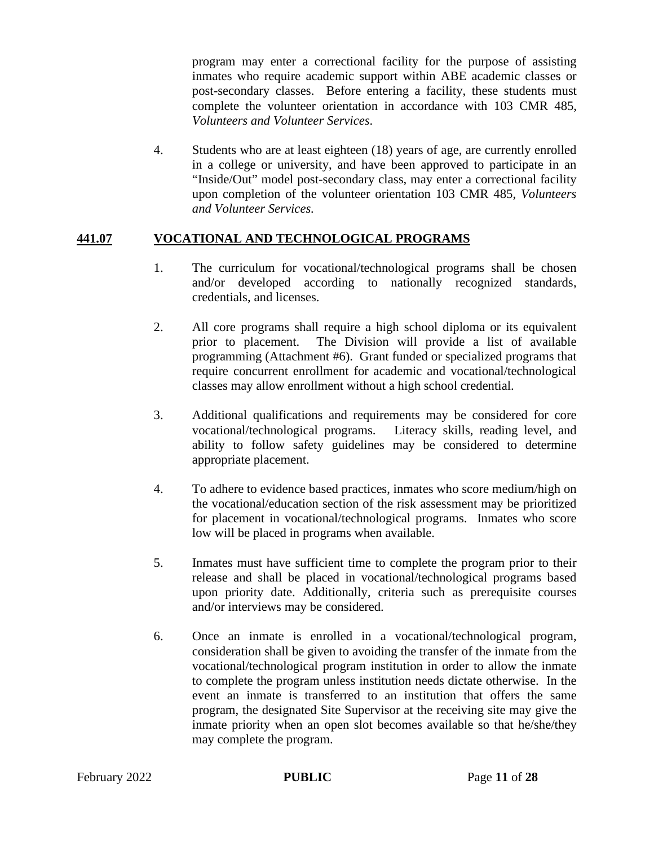program may enter a correctional facility for the purpose of assisting inmates who require academic support within ABE academic classes or post-secondary classes. Before entering a facility, these students must complete the volunteer orientation in accordance with 103 CMR 485, *Volunteers and Volunteer Services*.

4. Students who are at least eighteen (18) years of age, are currently enrolled in a college or university, and have been approved to participate in an "Inside/Out" model post-secondary class, may enter a correctional facility upon completion of the volunteer orientation 103 CMR 485, *Volunteers and Volunteer Services.*

#### **441.07 VOCATIONAL AND TECHNOLOGICAL PROGRAMS**

- 1. The curriculum for vocational/technological programs shall be chosen and/or developed according to nationally recognized standards, credentials, and licenses.
- 2. All core programs shall require a high school diploma or its equivalent prior to placement. The Division will provide a list of available programming (Attachment #6). Grant funded or specialized programs that require concurrent enrollment for academic and vocational/technological classes may allow enrollment without a high school credential.
- 3. Additional qualifications and requirements may be considered for core vocational/technological programs. Literacy skills, reading level, and ability to follow safety guidelines may be considered to determine appropriate placement.
- 4. To adhere to evidence based practices, inmates who score medium/high on the vocational/education section of the risk assessment may be prioritized for placement in vocational/technological programs. Inmates who score low will be placed in programs when available.
- 5. Inmates must have sufficient time to complete the program prior to their release and shall be placed in vocational/technological programs based upon priority date. Additionally, criteria such as prerequisite courses and/or interviews may be considered.
- 6. Once an inmate is enrolled in a vocational/technological program, consideration shall be given to avoiding the transfer of the inmate from the vocational/technological program institution in order to allow the inmate to complete the program unless institution needs dictate otherwise. In the event an inmate is transferred to an institution that offers the same program, the designated Site Supervisor at the receiving site may give the inmate priority when an open slot becomes available so that he/she/they may complete the program.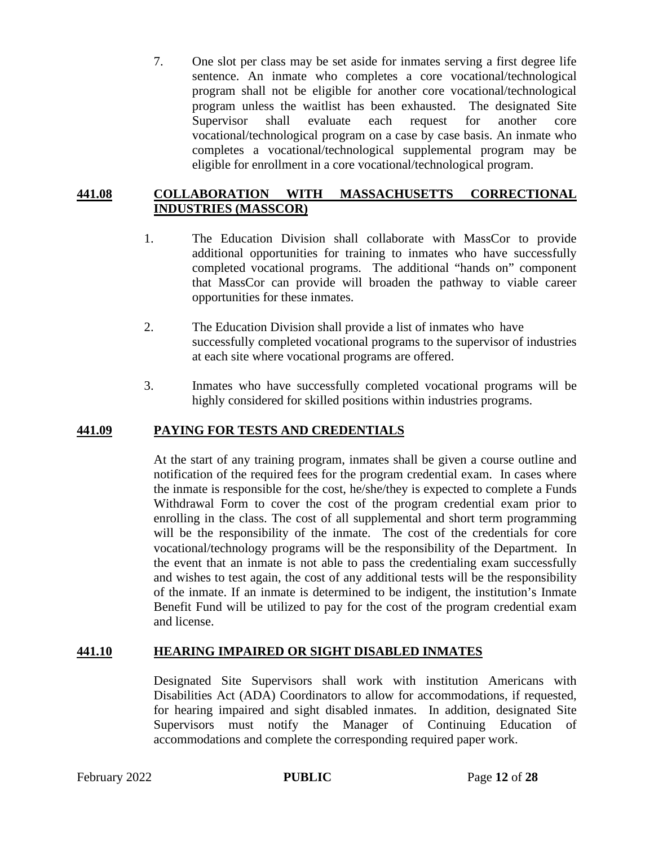7. One slot per class may be set aside for inmates serving a first degree life sentence. An inmate who completes a core vocational/technological program shall not be eligible for another core vocational/technological program unless the waitlist has been exhausted. The designated Site Supervisor shall evaluate each request for another core vocational/technological program on a case by case basis. An inmate who completes a vocational/technological supplemental program may be eligible for enrollment in a core vocational/technological program.

#### **441.08 COLLABORATION WITH MASSACHUSETTS CORRECTIONAL INDUSTRIES (MASSCOR)**

- 1. The Education Division shall collaborate with MassCor to provide additional opportunities for training to inmates who have successfully completed vocational programs. The additional "hands on" component that MassCor can provide will broaden the pathway to viable career opportunities for these inmates.
- 2. The Education Division shall provide a list of inmates who have successfully completed vocational programs to the supervisor of industries at each site where vocational programs are offered.
- 3. Inmates who have successfully completed vocational programs will be highly considered for skilled positions within industries programs.

#### **441.09 PAYING FOR TESTS AND CREDENTIALS**

At the start of any training program, inmates shall be given a course outline and notification of the required fees for the program credential exam. In cases where the inmate is responsible for the cost, he/she/they is expected to complete a Funds Withdrawal Form to cover the cost of the program credential exam prior to enrolling in the class. The cost of all supplemental and short term programming will be the responsibility of the inmate. The cost of the credentials for core vocational/technology programs will be the responsibility of the Department. In the event that an inmate is not able to pass the credentialing exam successfully and wishes to test again, the cost of any additional tests will be the responsibility of the inmate. If an inmate is determined to be indigent, the institution's Inmate Benefit Fund will be utilized to pay for the cost of the program credential exam and license.

#### **441.10 HEARING IMPAIRED OR SIGHT DISABLED INMATES**

Designated Site Supervisors shall work with institution Americans with Disabilities Act (ADA) Coordinators to allow for accommodations, if requested, for hearing impaired and sight disabled inmates. In addition, designated Site Supervisors must notify the Manager of Continuing Education of accommodations and complete the corresponding required paper work.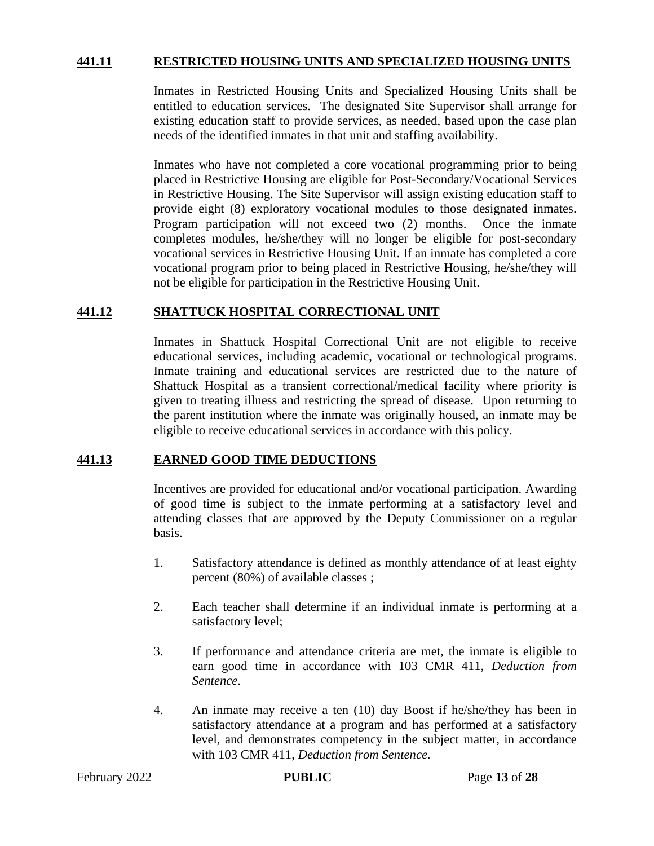#### **441.11 RESTRICTED HOUSING UNITS AND SPECIALIZED HOUSING UNITS**

Inmates in Restricted Housing Units and Specialized Housing Units shall be entitled to education services. The designated Site Supervisor shall arrange for existing education staff to provide services, as needed, based upon the case plan needs of the identified inmates in that unit and staffing availability.

Inmates who have not completed a core vocational programming prior to being placed in Restrictive Housing are eligible for Post-Secondary/Vocational Services in Restrictive Housing. The Site Supervisor will assign existing education staff to provide eight (8) exploratory vocational modules to those designated inmates. Program participation will not exceed two (2) months. Once the inmate completes modules, he/she/they will no longer be eligible for post-secondary vocational services in Restrictive Housing Unit. If an inmate has completed a core vocational program prior to being placed in Restrictive Housing, he/she/they will not be eligible for participation in the Restrictive Housing Unit.

#### **441.12 SHATTUCK HOSPITAL CORRECTIONAL UNIT**

Inmates in Shattuck Hospital Correctional Unit are not eligible to receive educational services, including academic, vocational or technological programs. Inmate training and educational services are restricted due to the nature of Shattuck Hospital as a transient correctional/medical facility where priority is given to treating illness and restricting the spread of disease. Upon returning to the parent institution where the inmate was originally housed, an inmate may be eligible to receive educational services in accordance with this policy.

#### **441.13 EARNED GOOD TIME DEDUCTIONS**

Incentives are provided for educational and/or vocational participation. Awarding of good time is subject to the inmate performing at a satisfactory level and attending classes that are approved by the Deputy Commissioner on a regular basis.

- 1. Satisfactory attendance is defined as monthly attendance of at least eighty percent (80%) of available classes ;
- 2. Each teacher shall determine if an individual inmate is performing at a satisfactory level;
- 3. If performance and attendance criteria are met, the inmate is eligible to earn good time in accordance with 103 CMR 411, *Deduction from Sentence*.
- 4. An inmate may receive a ten (10) day Boost if he/she/they has been in satisfactory attendance at a program and has performed at a satisfactory level, and demonstrates competency in the subject matter, in accordance with 103 CMR 411, *Deduction from Sentence*.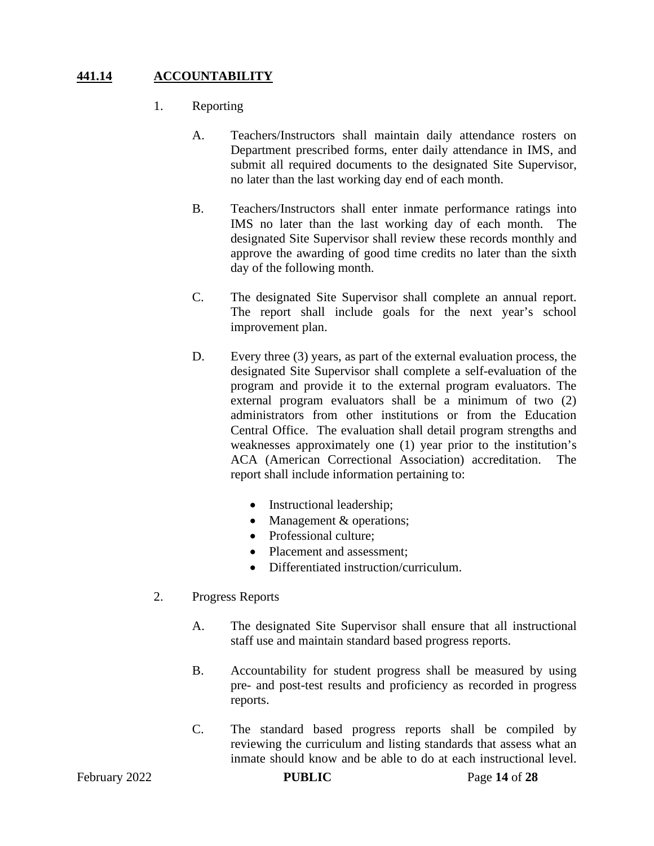# **441.14 ACCOUNTABILITY**

- 1. Reporting
	- A. Teachers/Instructors shall maintain daily attendance rosters on Department prescribed forms, enter daily attendance in IMS, and submit all required documents to the designated Site Supervisor, no later than the last working day end of each month.
	- B. Teachers/Instructors shall enter inmate performance ratings into IMS no later than the last working day of each month. The designated Site Supervisor shall review these records monthly and approve the awarding of good time credits no later than the sixth day of the following month.
	- C. The designated Site Supervisor shall complete an annual report. The report shall include goals for the next year's school improvement plan.
	- D. Every three (3) years, as part of the external evaluation process, the designated Site Supervisor shall complete a self-evaluation of the program and provide it to the external program evaluators. The external program evaluators shall be a minimum of two (2) administrators from other institutions or from the Education Central Office. The evaluation shall detail program strengths and weaknesses approximately one (1) year prior to the institution's ACA (American Correctional Association) accreditation. The report shall include information pertaining to:
		- Instructional leadership;
		- Management & operations;
		- Professional culture:
		- Placement and assessment:
		- Differentiated instruction/curriculum.
- 2. Progress Reports
	- A. The designated Site Supervisor shall ensure that all instructional staff use and maintain standard based progress reports.
	- B. Accountability for student progress shall be measured by using pre- and post-test results and proficiency as recorded in progress reports.
	- C. The standard based progress reports shall be compiled by reviewing the curriculum and listing standards that assess what an inmate should know and be able to do at each instructional level.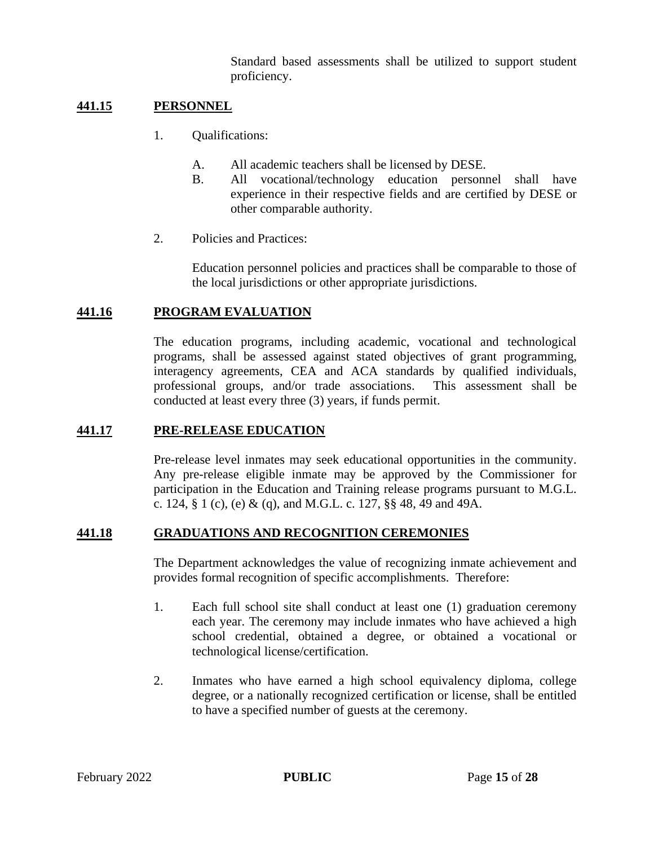Standard based assessments shall be utilized to support student proficiency.

#### **441.15 PERSONNEL**

- 1. Qualifications:
	- A. All academic teachers shall be licensed by DESE.
	- B. All vocational/technology education personnel shall have experience in their respective fields and are certified by DESE or other comparable authority.
- 2. Policies and Practices:

Education personnel policies and practices shall be comparable to those of the local jurisdictions or other appropriate jurisdictions.

#### **441.16 PROGRAM EVALUATION**

The education programs, including academic, vocational and technological programs, shall be assessed against stated objectives of grant programming, interagency agreements, CEA and ACA standards by qualified individuals, professional groups, and/or trade associations. This assessment shall be conducted at least every three (3) years, if funds permit.

#### **441.17 PRE-RELEASE EDUCATION**

Pre-release level inmates may seek educational opportunities in the community. Any pre-release eligible inmate may be approved by the Commissioner for participation in the Education and Training release programs pursuant to M.G.L. c. 124, § 1 (c), (e) & (q), and M.G.L. c. 127, §§ 48, 49 and 49A.

#### **441.18 GRADUATIONS AND RECOGNITION CEREMONIES**

The Department acknowledges the value of recognizing inmate achievement and provides formal recognition of specific accomplishments. Therefore:

- 1. Each full school site shall conduct at least one (1) graduation ceremony each year. The ceremony may include inmates who have achieved a high school credential, obtained a degree, or obtained a vocational or technological license/certification.
- 2. Inmates who have earned a high school equivalency diploma, college degree, or a nationally recognized certification or license, shall be entitled to have a specified number of guests at the ceremony.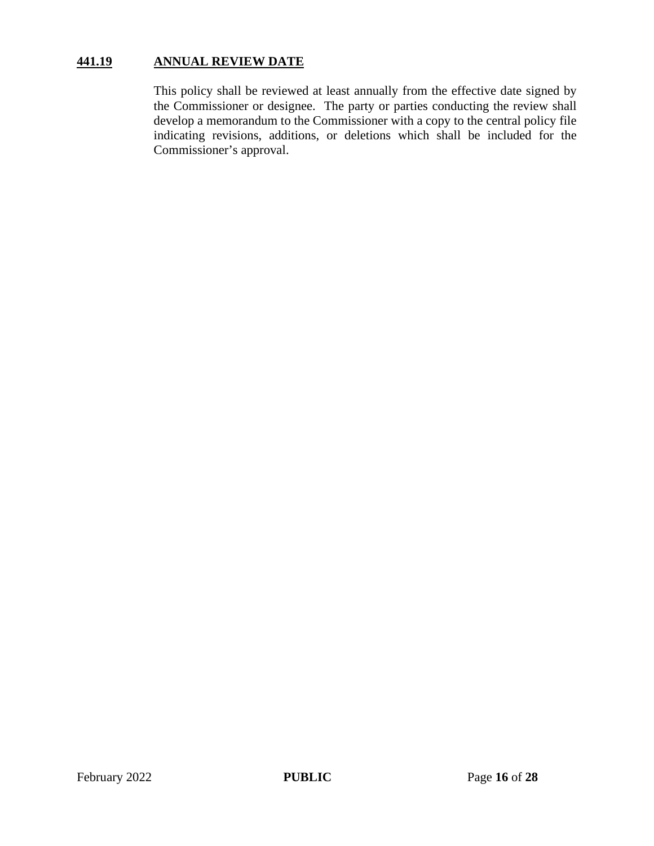# **441.19 ANNUAL REVIEW DATE**

This policy shall be reviewed at least annually from the effective date signed by the Commissioner or designee. The party or parties conducting the review shall develop a memorandum to the Commissioner with a copy to the central policy file indicating revisions, additions, or deletions which shall be included for the Commissioner's approval.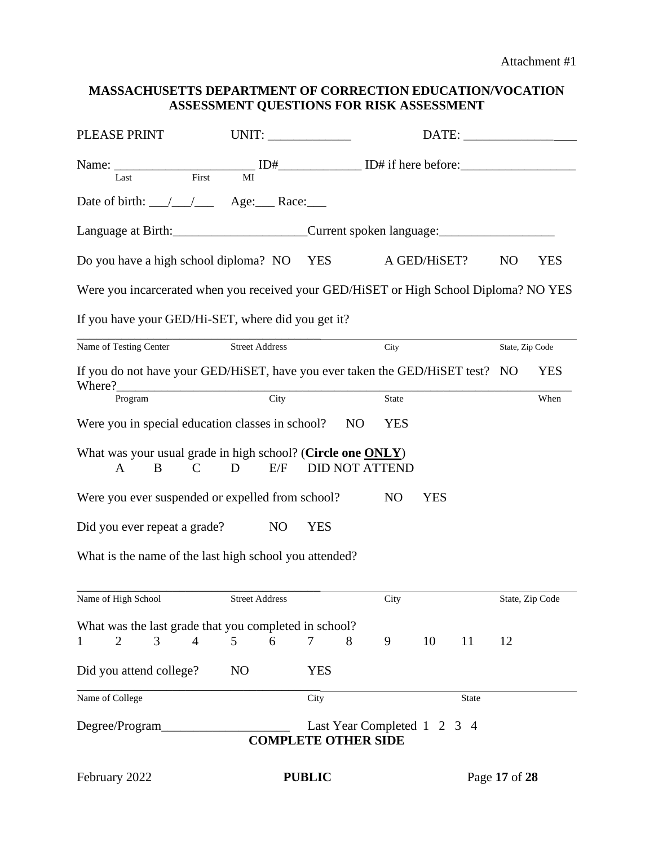#### **MASSACHUSETTS DEPARTMENT OF CORRECTION EDUCATION/VOCATION ASSESSMENT QUESTIONS FOR RISK ASSESSMENT**

| PLEASE PRINT                                                                                                                                                                                                                                                                                                                                                                                                                       | UNIT:                 |               |                                                           |              |              |                 |                 |
|------------------------------------------------------------------------------------------------------------------------------------------------------------------------------------------------------------------------------------------------------------------------------------------------------------------------------------------------------------------------------------------------------------------------------------|-----------------------|---------------|-----------------------------------------------------------|--------------|--------------|-----------------|-----------------|
| Name: $\frac{1}{\text{Last}}$ $\frac{ID# \_ \text{First}}{MI}$ $ID \_ \text{First}$ $ID \_ \text{First}$ $ID \_ \text{First}$ $ID \_ \text{First}$ $ID \_ \text{First}$ $ID \_ \text{First}$ $ID \_ \text{First}$ $ID \_ \text{First}$ $ID \_ \text{First}$ $ID \_ \text{First}$ $ID \_ \text{First}$ $ID \_ \text{First}$ $ID \_ \text{First}$ $ID \_ \text{First}$ $ID \_ \text{First}$ $ID \_ \text{First}$ $ID \_ \text{First$ |                       |               |                                                           |              |              |                 |                 |
|                                                                                                                                                                                                                                                                                                                                                                                                                                    |                       |               |                                                           |              |              |                 |                 |
| Date of birth: /// __ Age: __ Race:                                                                                                                                                                                                                                                                                                                                                                                                |                       |               |                                                           |              |              |                 |                 |
| Language at Birth: Current spoken language: Current spoken language:                                                                                                                                                                                                                                                                                                                                                               |                       |               |                                                           |              |              |                 |                 |
| Do you have a high school diploma? NO YES                                                                                                                                                                                                                                                                                                                                                                                          |                       |               |                                                           | A GED/HISET? |              | N <sub>O</sub>  | <b>YES</b>      |
| Were you incarcerated when you received your GED/HiSET or High School Diploma? NO YES                                                                                                                                                                                                                                                                                                                                              |                       |               |                                                           |              |              |                 |                 |
| If you have your GED/Hi-SET, where did you get it?                                                                                                                                                                                                                                                                                                                                                                                 |                       |               |                                                           |              |              |                 |                 |
| Name of Testing Center                                                                                                                                                                                                                                                                                                                                                                                                             | <b>Street Address</b> |               | City                                                      |              |              | State, Zip Code |                 |
| If you do not have your GED/HiSET, have you ever taken the GED/HiSET test? NO                                                                                                                                                                                                                                                                                                                                                      |                       |               |                                                           |              |              |                 | <b>YES</b>      |
| Program                                                                                                                                                                                                                                                                                                                                                                                                                            | $\overline{C}$ ity    |               | State                                                     |              |              |                 | When            |
| Were you in special education classes in school?                                                                                                                                                                                                                                                                                                                                                                                   |                       |               | N <sub>O</sub><br><b>YES</b>                              |              |              |                 |                 |
| What was your usual grade in high school? (Circle one ONLY)<br>B<br>A<br>$\mathbf C$                                                                                                                                                                                                                                                                                                                                               | D<br>E/F              |               | <b>DID NOT ATTEND</b>                                     |              |              |                 |                 |
| Were you ever suspended or expelled from school?                                                                                                                                                                                                                                                                                                                                                                                   |                       |               | N <sub>O</sub>                                            | <b>YES</b>   |              |                 |                 |
| Did you ever repeat a grade?                                                                                                                                                                                                                                                                                                                                                                                                       | N <sub>O</sub>        | <b>YES</b>    |                                                           |              |              |                 |                 |
| What is the name of the last high school you attended?                                                                                                                                                                                                                                                                                                                                                                             |                       |               |                                                           |              |              |                 |                 |
| Name of High School                                                                                                                                                                                                                                                                                                                                                                                                                | <b>Street Address</b> |               | City                                                      |              |              |                 | State, Zip Code |
| What was the last grade that you completed in school?                                                                                                                                                                                                                                                                                                                                                                              |                       |               |                                                           |              |              |                 |                 |
| 2<br>3<br>$\overline{4}$<br>$\mathbf{1}$                                                                                                                                                                                                                                                                                                                                                                                           | 6<br>$\mathfrak{S}$   | $\tau$        | 9<br>8                                                    | 10           | 11           | 12              |                 |
| Did you attend college?                                                                                                                                                                                                                                                                                                                                                                                                            | N <sub>O</sub>        | <b>YES</b>    |                                                           |              |              |                 |                 |
| Name of College                                                                                                                                                                                                                                                                                                                                                                                                                    |                       | City          |                                                           |              | <b>State</b> |                 |                 |
| Degree/Program_                                                                                                                                                                                                                                                                                                                                                                                                                    |                       |               | Last Year Completed 1 2 3 4<br><b>COMPLETE OTHER SIDE</b> |              |              |                 |                 |
| February 2022                                                                                                                                                                                                                                                                                                                                                                                                                      |                       | <b>PUBLIC</b> |                                                           |              |              | Page 17 of 28   |                 |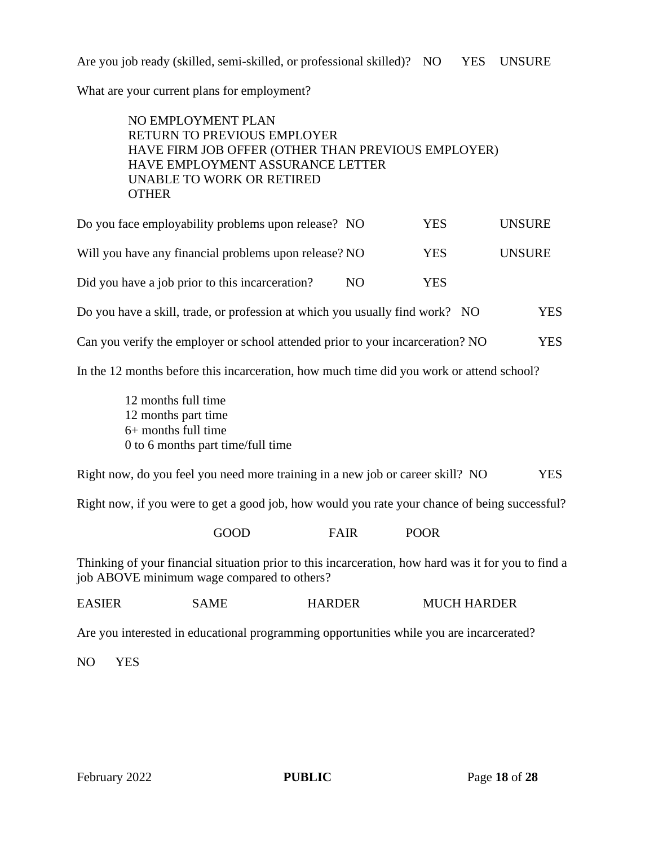Are you job ready (skilled, semi-skilled, or professional skilled)? NO YES UNSURE

What are your current plans for employment?

#### NO EMPLOYMENT PLAN RETURN TO PREVIOUS EMPLOYER HAVE FIRM JOB OFFER (OTHER THAN PREVIOUS EMPLOYER) HAVE EMPLOYMENT ASSURANCE LETTER UNABLE TO WORK OR RETIRED **OTHER**

| Do you face employability problems upon release? NO                                      |     | <b>YES</b> | <b>UNSURE</b> |
|------------------------------------------------------------------------------------------|-----|------------|---------------|
| Will you have any financial problems upon release? NO                                    |     | <b>YES</b> | <b>UNSURE</b> |
| Did you have a job prior to this incarceration?                                          | NO. | <b>YES</b> |               |
| Do you have a skill, trade, or profession at which you usually find work? NO             |     |            | <b>YES</b>    |
| Can you verify the employer or school attended prior to your incarceration? NO           |     |            | <b>YES</b>    |
| In the 12 months before this incarceration, how much time did you work or attend school? |     |            |               |

12 months full time 12 months part time 6+ months full time 0 to 6 months part time/full time

Right now, do you feel you need more training in a new job or career skill? NO YES

Right now, if you were to get a good job, how would you rate your chance of being successful?

GOOD FAIR POOR

Thinking of your financial situation prior to this incarceration, how hard was it for you to find a job ABOVE minimum wage compared to others?

| <b>EASIER</b><br>SAME | <b>HARDER</b> | <b>MUCH HARDER</b> |
|-----------------------|---------------|--------------------|
|-----------------------|---------------|--------------------|

Are you interested in educational programming opportunities while you are incarcerated?

NO YES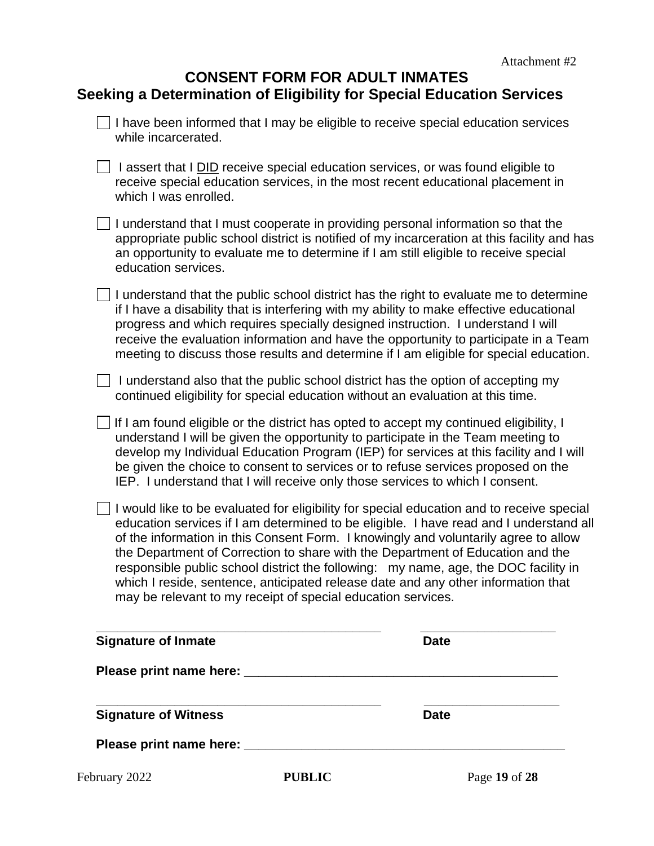| <b>CONSENT FORM FOR ADULT INMATES</b>                                 |  |
|-----------------------------------------------------------------------|--|
| Seeking a Determination of Eligibility for Special Education Services |  |

| <b>Signature of Inmate</b>                                                      | <b>Date</b>                                                                                                                                                                                                                                                                                                                                                                                                                                                                                                                              |
|---------------------------------------------------------------------------------|------------------------------------------------------------------------------------------------------------------------------------------------------------------------------------------------------------------------------------------------------------------------------------------------------------------------------------------------------------------------------------------------------------------------------------------------------------------------------------------------------------------------------------------|
| may be relevant to my receipt of special education services.                    | I would like to be evaluated for eligibility for special education and to receive special<br>education services if I am determined to be eligible. I have read and I understand all<br>of the information in this Consent Form. I knowingly and voluntarily agree to allow<br>the Department of Correction to share with the Department of Education and the<br>responsible public school district the following: my name, age, the DOC facility in<br>which I reside, sentence, anticipated release date and any other information that |
|                                                                                 | If I am found eligible or the district has opted to accept my continued eligibility, I<br>understand I will be given the opportunity to participate in the Team meeting to<br>develop my Individual Education Program (IEP) for services at this facility and I will<br>be given the choice to consent to services or to refuse services proposed on the<br>IEP. I understand that I will receive only those services to which I consent.                                                                                                |
| continued eligibility for special education without an evaluation at this time. | I understand also that the public school district has the option of accepting my                                                                                                                                                                                                                                                                                                                                                                                                                                                         |
|                                                                                 | I understand that the public school district has the right to evaluate me to determine<br>if I have a disability that is interfering with my ability to make effective educational<br>progress and which requires specially designed instruction. I understand I will<br>receive the evaluation information and have the opportunity to participate in a Team<br>meeting to discuss those results and determine if I am eligible for special education.                                                                                  |
| education services.                                                             | I understand that I must cooperate in providing personal information so that the<br>appropriate public school district is notified of my incarceration at this facility and has<br>an opportunity to evaluate me to determine if I am still eligible to receive special                                                                                                                                                                                                                                                                  |
| which I was enrolled.                                                           | I assert that I DID receive special education services, or was found eligible to<br>receive special education services, in the most recent educational placement in                                                                                                                                                                                                                                                                                                                                                                      |
| while incarcerated.                                                             |                                                                                                                                                                                                                                                                                                                                                                                                                                                                                                                                          |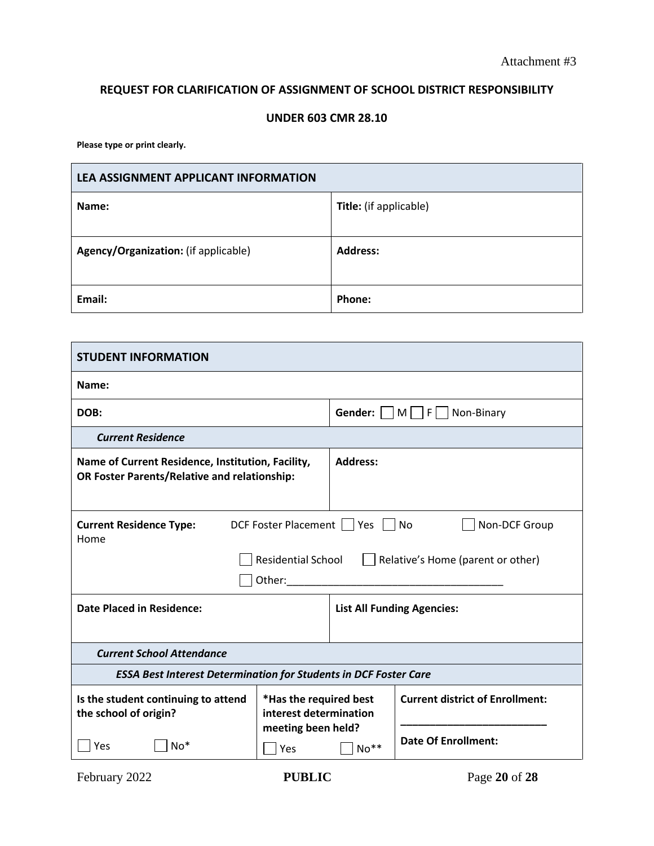#### **REQUEST FOR CLARIFICATION OF ASSIGNMENT OF SCHOOL DISTRICT RESPONSIBILITY**

#### **UNDER 603 CMR 28.10**

**Please type or print clearly.**

| LEA ASSIGNMENT APPLICANT INFORMATION |                               |  |  |
|--------------------------------------|-------------------------------|--|--|
| Name:                                | <b>Title:</b> (if applicable) |  |  |
| Agency/Organization: (if applicable) | <b>Address:</b>               |  |  |
| Email:                               | Phone:                        |  |  |

| <b>STUDENT INFORMATION</b>                                                                                                                                         |                                                  |                                       |                                        |  |
|--------------------------------------------------------------------------------------------------------------------------------------------------------------------|--------------------------------------------------|---------------------------------------|----------------------------------------|--|
| Name:                                                                                                                                                              |                                                  |                                       |                                        |  |
| DOB:                                                                                                                                                               |                                                  | <b>Gender:</b>    M   F    Non-Binary |                                        |  |
| <b>Current Residence</b>                                                                                                                                           |                                                  |                                       |                                        |  |
| Name of Current Residence, Institution, Facility,<br>OR Foster Parents/Relative and relationship:                                                                  |                                                  | <b>Address:</b>                       |                                        |  |
| <b>Current Residence Type:</b><br>DCF Foster Placement     Yes     No<br>Non-DCF Group<br>Home<br>Residential School   Relative's Home (parent or other)<br>Other: |                                                  |                                       |                                        |  |
| <b>Date Placed in Residence:</b><br><b>List All Funding Agencies:</b>                                                                                              |                                                  |                                       |                                        |  |
| <b>Current School Attendance</b>                                                                                                                                   |                                                  |                                       |                                        |  |
| <b>ESSA Best Interest Determination for Students in DCF Foster Care</b>                                                                                            |                                                  |                                       |                                        |  |
| Is the student continuing to attend<br>the school of origin?                                                                                                       | *Has the required best<br>interest determination |                                       | <b>Current district of Enrollment:</b> |  |
| Yes<br>$No*$                                                                                                                                                       | meeting been held?<br>Yes                        | $No**$                                | <b>Date Of Enrollment:</b>             |  |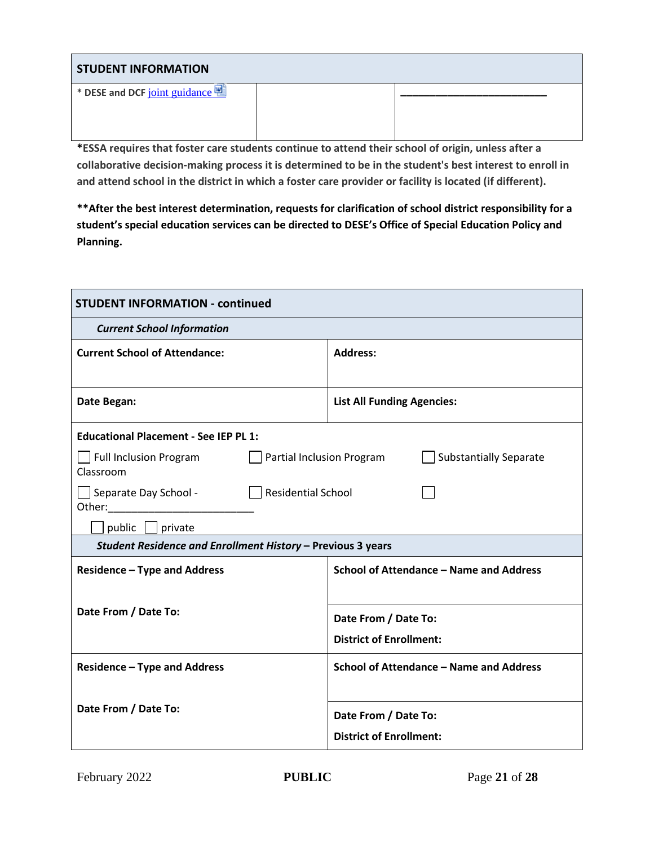| <b>STUDENT INFORMATION</b>    |  |  |  |  |
|-------------------------------|--|--|--|--|
| * DESE and DCF joint guidance |  |  |  |  |
|                               |  |  |  |  |

**\*ESSA requires that foster care students continue to attend their school of origin, unless after a collaborative decision-making process it is determined to be in the student's best interest to enroll in and attend school in the district in which a foster care provider or facility is located (if different).**

**\*\*After the best interest determination, requests for clarification of school district responsibility for a student's special education services can be directed to DESE's Office of Special Education Policy and Planning.**

| <b>STUDENT INFORMATION - continued</b>                      |                                                            |  |
|-------------------------------------------------------------|------------------------------------------------------------|--|
| <b>Current School Information</b>                           |                                                            |  |
| <b>Current School of Attendance:</b>                        | <b>Address:</b>                                            |  |
|                                                             |                                                            |  |
| Date Began:                                                 | <b>List All Funding Agencies:</b>                          |  |
| <b>Educational Placement - See IEP PL 1:</b>                |                                                            |  |
| Full Inclusion Program<br>Classroom                         | Partial Inclusion Program<br><b>Substantially Separate</b> |  |
| Separate Day School -                                       | $\vert$ Residential School                                 |  |
| public   private                                            |                                                            |  |
| Student Residence and Enrollment History - Previous 3 years |                                                            |  |
| <b>Residence - Type and Address</b>                         | School of Attendance - Name and Address                    |  |
|                                                             |                                                            |  |
| Date From / Date To:                                        | Date From / Date To:                                       |  |
|                                                             | <b>District of Enrollment:</b>                             |  |
| <b>Residence - Type and Address</b>                         | School of Attendance - Name and Address                    |  |
|                                                             |                                                            |  |
| Date From / Date To:                                        |                                                            |  |
|                                                             | Date From / Date To:                                       |  |
|                                                             | <b>District of Enrollment:</b>                             |  |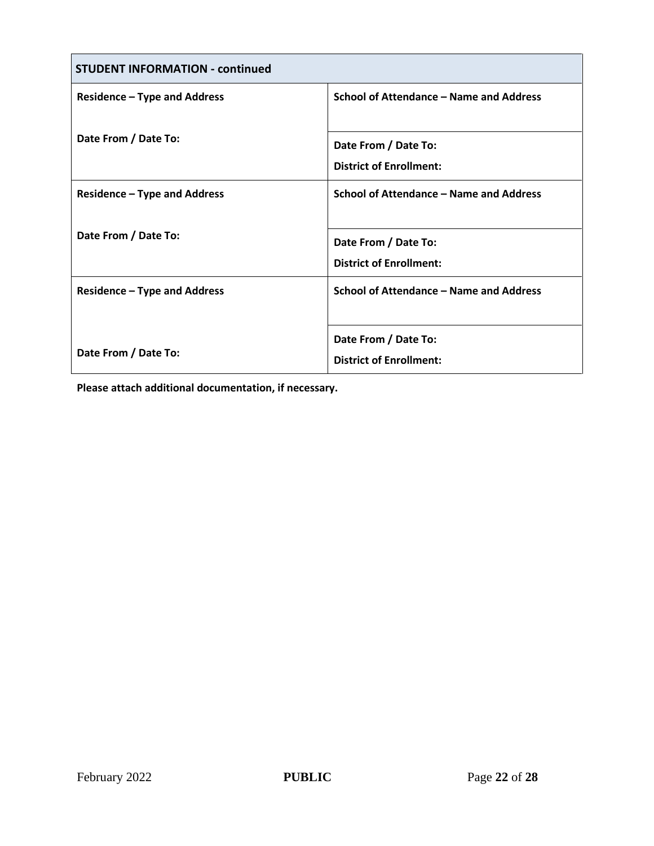| <b>STUDENT INFORMATION - continued</b> |                                         |
|----------------------------------------|-----------------------------------------|
| <b>Residence - Type and Address</b>    | School of Attendance – Name and Address |
| Date From / Date To:                   |                                         |
|                                        | Date From / Date To:                    |
|                                        | <b>District of Enrollment:</b>          |
| <b>Residence – Type and Address</b>    | School of Attendance – Name and Address |
|                                        |                                         |
| Date From / Date To:                   | Date From / Date To:                    |
|                                        | <b>District of Enrollment:</b>          |
| <b>Residence – Type and Address</b>    | School of Attendance – Name and Address |
|                                        |                                         |
|                                        | Date From / Date To:                    |
| Date From / Date To:                   | <b>District of Enrollment:</b>          |

**Please attach additional documentation, if necessary.**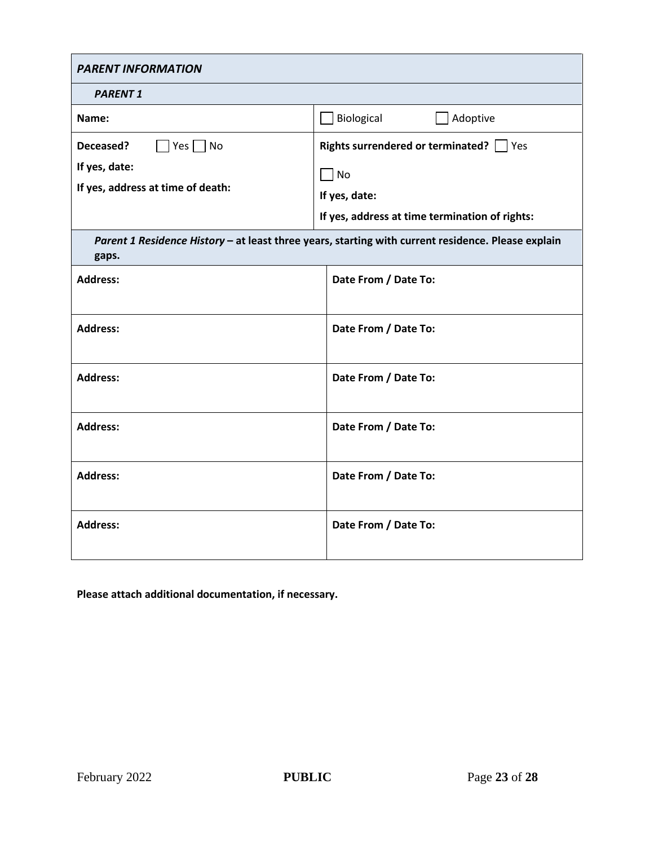| <b>PARENT INFORMATION</b>                                                                                   |                                                                                                                                                  |
|-------------------------------------------------------------------------------------------------------------|--------------------------------------------------------------------------------------------------------------------------------------------------|
| <b>PARENT 1</b>                                                                                             |                                                                                                                                                  |
| Name:                                                                                                       | Biological<br>Adoptive                                                                                                                           |
| $Yes \nightharpoonup No$<br>Deceased?<br>If yes, date:<br>If yes, address at time of death:                 | <b>Rights surrendered or terminated?</b>   Yes<br>$\overline{\phantom{a}}$ No<br>If yes, date:<br>If yes, address at time termination of rights: |
| Parent 1 Residence History - at least three years, starting with current residence. Please explain<br>gaps. |                                                                                                                                                  |
| <b>Address:</b>                                                                                             | Date From / Date To:                                                                                                                             |
| <b>Address:</b>                                                                                             | Date From / Date To:                                                                                                                             |
| <b>Address:</b>                                                                                             | Date From / Date To:                                                                                                                             |
| <b>Address:</b>                                                                                             | Date From / Date To:                                                                                                                             |
| <b>Address:</b>                                                                                             | Date From / Date To:                                                                                                                             |
| <b>Address:</b>                                                                                             | Date From / Date To:                                                                                                                             |

**Please attach additional documentation, if necessary.**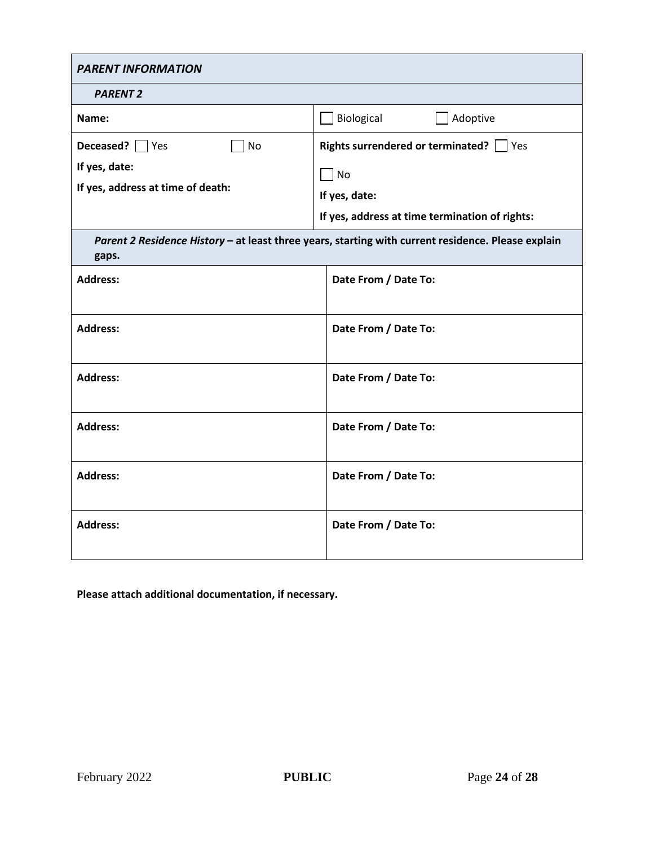| <b>PARENT INFORMATION</b>                                                                                   |                                                                                                                         |
|-------------------------------------------------------------------------------------------------------------|-------------------------------------------------------------------------------------------------------------------------|
| <b>PARENT 2</b>                                                                                             |                                                                                                                         |
| Name:                                                                                                       | Biological<br>Adoptive                                                                                                  |
| Deceased? Yes<br>∏No<br>If yes, date:<br>If yes, address at time of death:                                  | Rights surrendered or terminated?   Yes<br>$\Box$ No<br>If yes, date:<br>If yes, address at time termination of rights: |
| Parent 2 Residence History - at least three years, starting with current residence. Please explain<br>gaps. |                                                                                                                         |
| <b>Address:</b>                                                                                             | Date From / Date To:                                                                                                    |
| <b>Address:</b>                                                                                             | Date From / Date To:                                                                                                    |
| <b>Address:</b>                                                                                             | Date From / Date To:                                                                                                    |
| <b>Address:</b>                                                                                             | Date From / Date To:                                                                                                    |
| <b>Address:</b>                                                                                             | Date From / Date To:                                                                                                    |
| <b>Address:</b>                                                                                             | Date From / Date To:                                                                                                    |

**Please attach additional documentation, if necessary.**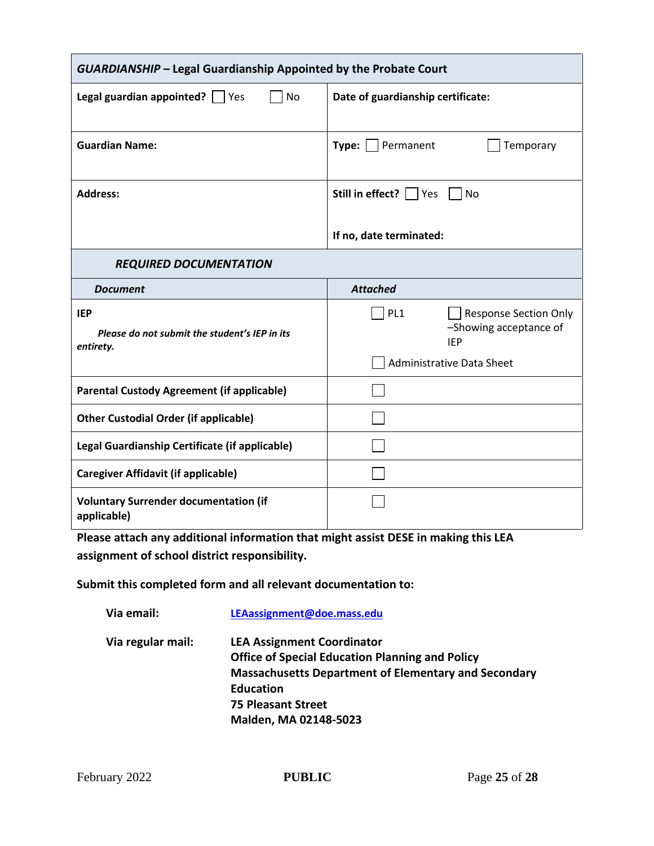| <b>GUARDIANSHIP - Legal Guardianship Appointed by the Probate Court</b> |                                          |
|-------------------------------------------------------------------------|------------------------------------------|
| <b>No</b><br><b>Legal guardian appointed?</b> $\Box$ Yes                | Date of guardianship certificate:        |
|                                                                         |                                          |
| <b>Guardian Name:</b>                                                   | <b>Type:</b>   Permanent<br>Temporary    |
|                                                                         |                                          |
| <b>Address:</b>                                                         | Still in effect?     Yes     No          |
|                                                                         |                                          |
|                                                                         | If no, date terminated:                  |
| <b>REQUIRED DOCUMENTATION</b>                                           |                                          |
| <b>Document</b>                                                         | <b>Attached</b>                          |
| <b>IEP</b>                                                              | PL <sub>1</sub><br>Response Section Only |
| Please do not submit the student's IEP in its<br>entirety.              | -Showing acceptance of<br><b>IEP</b>     |
|                                                                         | <b>Administrative Data Sheet</b>         |
| <b>Parental Custody Agreement (if applicable)</b>                       |                                          |
| <b>Other Custodial Order (if applicable)</b>                            |                                          |
| Legal Guardianship Certificate (if applicable)                          |                                          |
| <b>Caregiver Affidavit (if applicable)</b>                              |                                          |
| <b>Voluntary Surrender documentation (if</b><br>applicable)             |                                          |

**Please attach any additional information that might assist DESE in making this LEA assignment of school district responsibility.**

**Submit this completed form and all relevant documentation to:**

| Via email:        | LEAassignment@doe.mass.edu                                                                                                                                                                                                           |
|-------------------|--------------------------------------------------------------------------------------------------------------------------------------------------------------------------------------------------------------------------------------|
| Via regular mail: | <b>LEA Assignment Coordinator</b><br><b>Office of Special Education Planning and Policy</b><br><b>Massachusetts Department of Elementary and Secondary</b><br><b>Education</b><br><b>75 Pleasant Street</b><br>Malden, MA 02148-5023 |
|                   |                                                                                                                                                                                                                                      |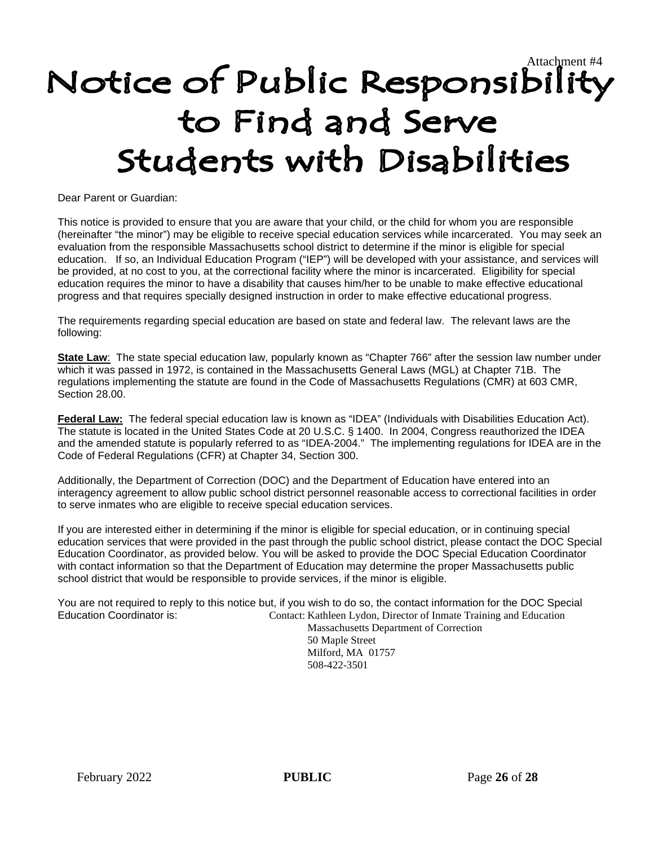# Notice of Public Responsibility to Find and Serve Students with Disabilities

Dear Parent or Guardian:

This notice is provided to ensure that you are aware that your child, or the child for whom you are responsible (hereinafter "the minor") may be eligible to receive special education services while incarcerated. You may seek an evaluation from the responsible Massachusetts school district to determine if the minor is eligible for special education. If so, an Individual Education Program ("IEP") will be developed with your assistance, and services will be provided, at no cost to you, at the correctional facility where the minor is incarcerated. Eligibility for special education requires the minor to have a disability that causes him/her to be unable to make effective educational progress and that requires specially designed instruction in order to make effective educational progress.

The requirements regarding special education are based on state and federal law. The relevant laws are the following:

**State Law**: The state special education law, popularly known as "Chapter 766" after the session law number under which it was passed in 1972, is contained in the Massachusetts General Laws (MGL) at Chapter 71B. The regulations implementing the statute are found in the Code of Massachusetts Regulations (CMR) at 603 CMR, Section 28.00.

**Federal Law:** The federal special education law is known as "IDEA" (Individuals with Disabilities Education Act). The statute is located in the United States Code at 20 U.S.C. § 1400. In 2004, Congress reauthorized the IDEA and the amended statute is popularly referred to as "IDEA-2004." The implementing regulations for IDEA are in the Code of Federal Regulations (CFR) at Chapter 34, Section 300.

Additionally, the Department of Correction (DOC) and the Department of Education have entered into an interagency agreement to allow public school district personnel reasonable access to correctional facilities in order to serve inmates who are eligible to receive special education services.

If you are interested either in determining if the minor is eligible for special education, or in continuing special education services that were provided in the past through the public school district, please contact the DOC Special Education Coordinator, as provided below. You will be asked to provide the DOC Special Education Coordinator with contact information so that the Department of Education may determine the proper Massachusetts public school district that would be responsible to provide services, if the minor is eligible.

You are not required to reply to this notice but, if you wish to do so, the contact information for the DOC Special Education Coordinator is: Contact: Kathleen Lydon, Director of Inmate Training and Education Massachusetts Department of Correction

50 Maple Street Milford, MA 01757 508-422-3501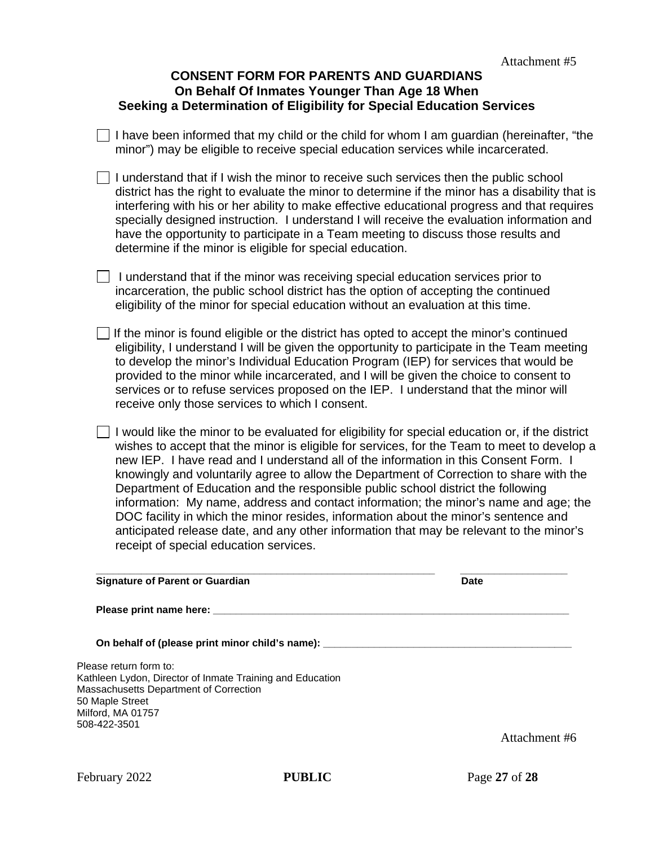#### **CONSENT FORM FOR PARENTS AND GUARDIANS On Behalf Of Inmates Younger Than Age 18 When Seeking a Determination of Eligibility for Special Education Services**

 $\Box$  I have been informed that my child or the child for whom I am guardian (hereinafter, "the minor") may be eligible to receive special education services while incarcerated.

 $\Box$  I understand that if I wish the minor to receive such services then the public school district has the right to evaluate the minor to determine if the minor has a disability that is interfering with his or her ability to make effective educational progress and that requires specially designed instruction. I understand I will receive the evaluation information and have the opportunity to participate in a Team meeting to discuss those results and determine if the minor is eligible for special education.

 $\Box$  I understand that if the minor was receiving special education services prior to incarceration, the public school district has the option of accepting the continued eligibility of the minor for special education without an evaluation at this time.

If the minor is found eligible or the district has opted to accept the minor's continued eligibility, I understand I will be given the opportunity to participate in the Team meeting to develop the minor's Individual Education Program (IEP) for services that would be provided to the minor while incarcerated, and I will be given the choice to consent to services or to refuse services proposed on the IEP. I understand that the minor will receive only those services to which I consent.

 $\Box$  I would like the minor to be evaluated for eligibility for special education or, if the district wishes to accept that the minor is eligible for services, for the Team to meet to develop a new IEP. I have read and I understand all of the information in this Consent Form. I knowingly and voluntarily agree to allow the Department of Correction to share with the Department of Education and the responsible public school district the following information: My name, address and contact information; the minor's name and age; the DOC facility in which the minor resides, information about the minor's sentence and anticipated release date, and any other information that may be relevant to the minor's receipt of special education services.

| <b>Signature of Parent or Guardian</b>                                                                                                                                                                                         | Date          |
|--------------------------------------------------------------------------------------------------------------------------------------------------------------------------------------------------------------------------------|---------------|
| Please print name here: Next and the set of the set of the set of the set of the set of the set of the set of the set of the set of the set of the set of the set of the set of the set of the set of the set of the set of th |               |
| On behalf of (please print minor child's name): _______                                                                                                                                                                        |               |
| Please return form to:<br>Kathleen Lydon, Director of Inmate Training and Education<br>Massachusetts Department of Correction<br>50 Maple Street                                                                               |               |
| Milford, MA 01757<br>508-422-3501                                                                                                                                                                                              | Attachment #6 |